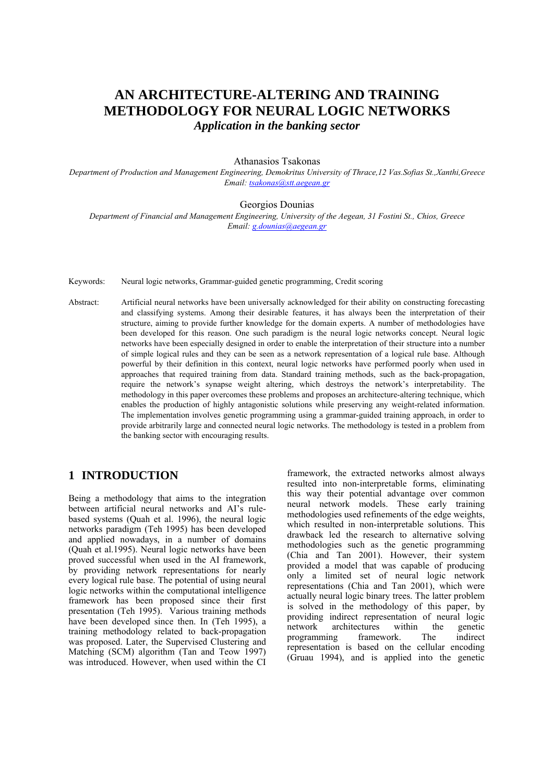# **AN ARCHITECTURE-ALTERING AND TRAINING METHODOLOGY FOR NEURAL LOGIC NETWORKS**  *Application in the banking sector*

#### Athanasios Tsakonas

*Department of Production and Management Engineering, Demokritus University of Thrace,12 Vas.Sofias St.,Xanthi,Greece Email: [tsakonas@stt.aegean.gr](mailto:tsakonas@stt.aegean.gr)* 

Georgios Dounias

*Department of Financial and Management Engineering, University of the Aegean, 31 Fostini St., Chios, Greece Email: [g.dounias@aegean.gr](mailto:g.dounias@aegean.gr)* 

Keywords: Neural logic networks, Grammar-guided genetic programming, Credit scoring

Abstract: Artificial neural networks have been universally acknowledged for their ability on constructing forecasting and classifying systems. Among their desirable features, it has always been the interpretation of their structure, aiming to provide further knowledge for the domain experts. A number of methodologies have been developed for this reason. One such paradigm is the neural logic networks concept. Neural logic networks have been especially designed in order to enable the interpretation of their structure into a number of simple logical rules and they can be seen as a network representation of a logical rule base. Although powerful by their definition in this context, neural logic networks have performed poorly when used in approaches that required training from data. Standard training methods, such as the back-propagation, require the network's synapse weight altering, which destroys the network's interpretability. The methodology in this paper overcomes these problems and proposes an architecture-altering technique, which enables the production of highly antagonistic solutions while preserving any weight-related information. The implementation involves genetic programming using a grammar-guided training approach, in order to provide arbitrarily large and connected neural logic networks. The methodology is tested in a problem from the banking sector with encouraging results.

# **1 INTRODUCTION**

Being a methodology that aims to the integration between artificial neural networks and AI's rulebased systems (Quah et al. 1996), the neural logic networks paradigm (Teh 1995) has been developed and applied nowadays, in a number of domains (Quah et al.1995). Neural logic networks have been proved successful when used in the AI framework, by providing network representations for nearly every logical rule base. The potential of using neural logic networks within the computational intelligence framework has been proposed since their first presentation (Teh 1995). Various training methods have been developed since then. In (Teh 1995), a training methodology related to back-propagation was proposed. Later, the Supervised Clustering and Matching (SCM) algorithm (Tan and Teow 1997) was introduced. However, when used within the CI

framework, the extracted networks almost always resulted into non-interpretable forms, eliminating this way their potential advantage over common neural network models. These early training methodologies used refinements of the edge weights, which resulted in non-interpretable solutions. This drawback led the research to alternative solving methodologies such as the genetic programming (Chia and Tan 2001). However, their system provided a model that was capable of producing only a limited set of neural logic network representations (Chia and Tan 2001), which were actually neural logic binary trees. The latter problem is solved in the methodology of this paper, by providing indirect representation of neural logic network architectures within the genetic<br>programming framework. The indirect programming framework. The indirect representation is based on the cellular encoding (Gruau 1994), and is applied into the genetic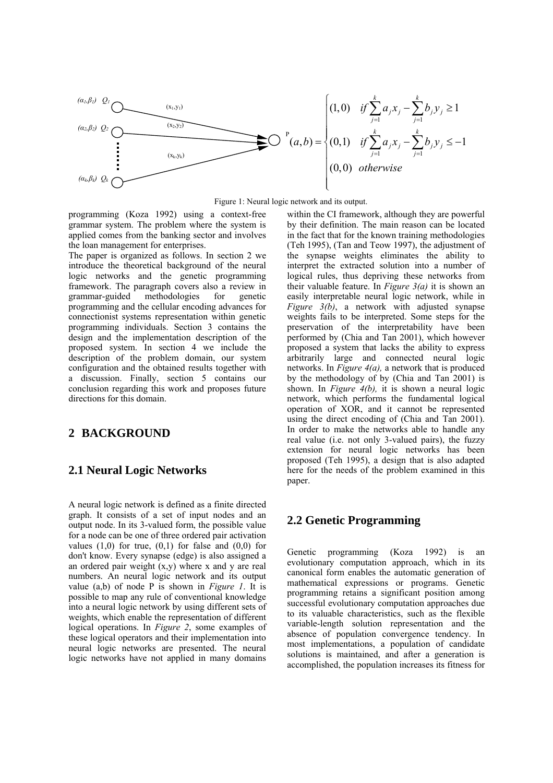

Figure 1: Neural logic network and its output.

programming (Koza 1992) using a context-free grammar system. The problem where the system is applied comes from the banking sector and involves the loan management for enterprises.

The paper is organized as follows. In section 2 we introduce the theoretical background of the neural logic networks and the genetic programming framework. The paragraph covers also a review in grammar-guided methodologies for genetic programming and the cellular encoding advances for connectionist systems representation within genetic programming individuals. Section 3 contains the design and the implementation description of the proposed system. In section 4 we include the description of the problem domain, our system configuration and the obtained results together with a discussion. Finally, section 5 contains our conclusion regarding this work and proposes future directions for this domain.

## **2 BACKGROUND**

### **2.1 Neural Logic Networks**

A neural logic network is defined as a finite directed graph. It consists of a set of input nodes and an output node. In its 3-valued form, the possible value for a node can be one of three ordered pair activation values  $(1,0)$  for true,  $(0,1)$  for false and  $(0,0)$  for don't know. Every synapse (edge) is also assigned a an ordered pair weight  $(x,y)$  where x and y are real numbers. An neural logic network and its output value (a,b) of node P is shown in *Figure 1*. It is possible to map any rule of conventional knowledge into a neural logic network by using different sets of weights, which enable the representation of different logical operations. In *Figure 2*, some examples of these logical operators and their implementation into neural logic networks are presented. The neural logic networks have not applied in many domains

within the CI framework, although they are powerful by their definition. The main reason can be located in the fact that for the known training methodologies (Teh 1995), (Tan and Teow 1997), the adjustment of the synapse weights eliminates the ability to interpret the extracted solution into a number of logical rules, thus depriving these networks from their valuable feature. In *Figure 3(a)* it is shown an easily interpretable neural logic network, while in *Figure 3(b)*, a network with adjusted synapse weights fails to be interpreted. Some steps for the preservation of the interpretability have been performed by (Chia and Tan 2001), which however proposed a system that lacks the ability to express arbitrarily large and connected neural logic networks. In *Figure 4(a),* a network that is produced by the methodology of by (Chia and Tan 2001) is shown. In *Figure 4(b),* it is shown a neural logic network, which performs the fundamental logical operation of XOR, and it cannot be represented using the direct encoding of (Chia and Tan 2001). In order to make the networks able to handle any real value (i.e. not only 3-valued pairs), the fuzzy extension for neural logic networks has been proposed (Teh 1995), a design that is also adapted here for the needs of the problem examined in this paper.

### **2.2 Genetic Programming**

Genetic programming (Koza 1992) is an evolutionary computation approach, which in its canonical form enables the automatic generation of mathematical expressions or programs. Genetic programming retains a significant position among successful evolutionary computation approaches due to its valuable characteristics, such as the flexible variable-length solution representation and the absence of population convergence tendency. In most implementations, a population of candidate solutions is maintained, and after a generation is accomplished, the population increases its fitness for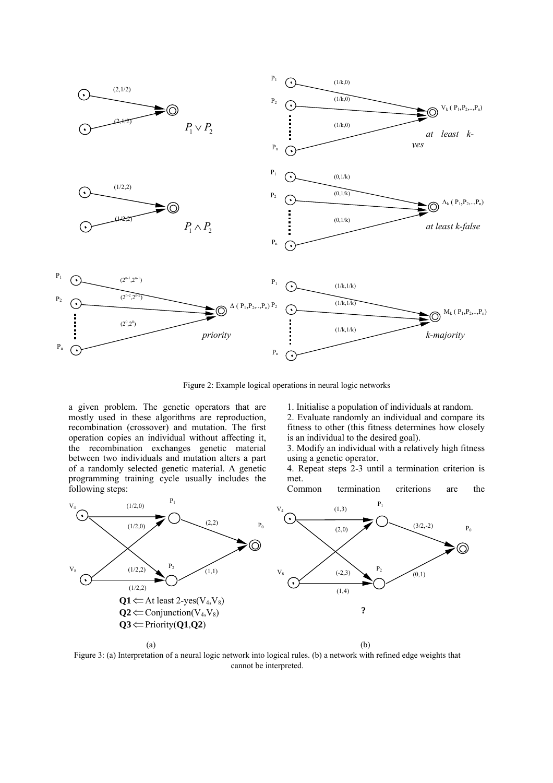

Figure 2: Example logical operations in neural logic networks

a given problem. The genetic operators that are mostly used in these algorithms are reproduction, recombination (crossover) and mutation. The first operation copies an individual without affecting it, the recombination exchanges genetic material between two individuals and mutation alters a part of a randomly selected genetic material. A genetic programming training cycle usually includes the following steps:

1. Initialise a population of individuals at random.

2. Evaluate randomly an individual and compare its fitness to other (this fitness determines how closely is an individual to the desired goal).

3. Modify an individual with a relatively high fitness using a genetic operator.

4. Repeat steps 2-3 until a termination criterion is met.

Common termination criterions are the



Figure 3: (a) Interpretation of a neural logic network into logical rules. (b) a network with refined edge weights that cannot be interpreted.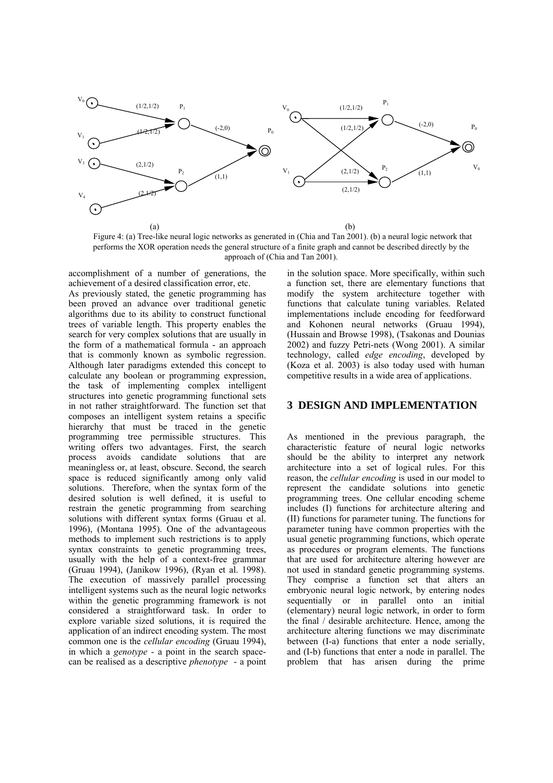

Figure 4: (a) Tree-like neural logic networks as generated in (Chia and Tan 2001). (b) a neural logic network that performs the XOR operation needs the general structure of a finite graph and cannot be described directly by the approach of (Chia and Tan 2001).

accomplishment of a number of generations, the achievement of a desired classification error, etc. As previously stated, the genetic programming has

been proved an advance over traditional genetic algorithms due to its ability to construct functional trees of variable length. This property enables the search for very complex solutions that are usually in the form of a mathematical formula - an approach that is commonly known as symbolic regression. Although later paradigms extended this concept to calculate any boolean or programming expression, the task of implementing complex intelligent structures into genetic programming functional sets in not rather straightforward. The function set that composes an intelligent system retains a specific hierarchy that must be traced in the genetic programming tree permissible structures. This writing offers two advantages. First, the search process avoids candidate solutions that are meaningless or, at least, obscure. Second, the search space is reduced significantly among only valid solutions. Therefore, when the syntax form of the desired solution is well defined, it is useful to restrain the genetic programming from searching solutions with different syntax forms (Gruau et al. 1996), (Montana 1995). One of the advantageous methods to implement such restrictions is to apply syntax constraints to genetic programming trees, usually with the help of a context-free grammar (Gruau 1994), (Janikow 1996), (Ryan et al. 1998). The execution of massively parallel processing intelligent systems such as the neural logic networks within the genetic programming framework is not considered a straightforward task. In order to explore variable sized solutions, it is required the application of an indirect encoding system. The most common one is the *cellular encoding* (Gruau 1994), in which a *genotype* - a point in the search spacecan be realised as a descriptive *phenotype* - a point in the solution space. More specifically, within such a function set, there are elementary functions that modify the system architecture together with functions that calculate tuning variables. Related implementations include encoding for feedforward and Kohonen neural networks (Gruau 1994), (Hussain and Browse 1998), (Tsakonas and Dounias 2002) and fuzzy Petri-nets (Wong 2001). A similar technology, called *edge encoding*, developed by (Koza et al. 2003) is also today used with human competitive results in a wide area of applications.

#### **3 DESIGN AND IMPLEMENTATION**

As mentioned in the previous paragraph, the characteristic feature of neural logic networks should be the ability to interpret any network architecture into a set of logical rules. For this reason, the *cellular encoding* is used in our model to represent the candidate solutions into genetic programming trees. One cellular encoding scheme includes (I) functions for architecture altering and (II) functions for parameter tuning. The functions for parameter tuning have common properties with the usual genetic programming functions, which operate as procedures or program elements. The functions that are used for architecture altering however are not used in standard genetic programming systems. They comprise a function set that alters an embryonic neural logic network, by entering nodes sequentially or in parallel onto an initial (elementary) neural logic network, in order to form the final / desirable architecture. Hence, among the architecture altering functions we may discriminate between (I-a) functions that enter a node serially, and (I-b) functions that enter a node in parallel. The problem that has arisen during the prime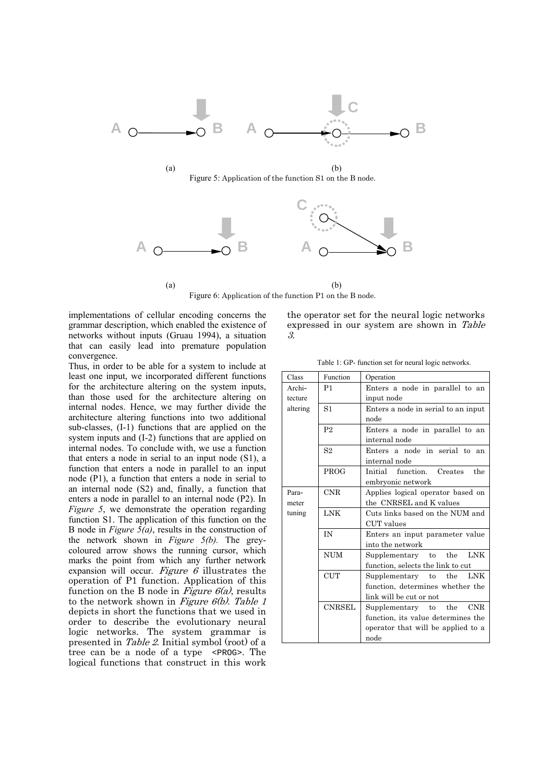



 $(a)$  (b) Figure 6: Application of the function P1 on the Β node.

implementations of cellular encoding concerns the grammar description, which enabled the existence of networks without inputs (Gruau 1994), a situation that can easily lead into premature population convergence.

Thus, in order to be able for a system to include at least one input, we incorporated different functions for the architecture altering on the system inputs, than those used for the architecture altering on internal nodes. Hence, we may further divide the architecture altering functions into two additional sub-classes, (I-1) functions that are applied on the system inputs and (I-2) functions that are applied on internal nodes. To conclude with, we use a function that enters a node in serial to an input node (S1), a function that enters a node in parallel to an input node (P1), a function that enters a node in serial to an internal node (S2) and, finally, a function that enters a node in parallel to an internal node (P2). In *Figure 5*, we demonstrate the operation regarding function S1. The application of this function on the B node in *Figure 5(a)*, results in the construction of the network shown in *Figure 5(b).* The greycoloured arrow shows the running cursor, which marks the point from which any further network expansion will occur. Figure  $6$  illustrates the operation of P1 function. Application of this function on the B node in Figure  $6(a)$ , results to the network shown in Figure  $6(b)$ . Table 1 depicts in short the functions that we used in order to describe the evolutionary neural logic networks. The system grammar is presented in Table 2. Initial symbol (root) of a tree can be a node of a type <PROG>. The logical functions that construct in this work

the operator set for the neural logic networks expressed in our system are shown in Table 3.

Table 1: GP- function set for neural logic networks.

| Class               | Function       | Operation                             |  |  |  |
|---------------------|----------------|---------------------------------------|--|--|--|
| Archi-              | P1             | Enters a node in parallel to an       |  |  |  |
| tecture             |                | input node                            |  |  |  |
| altering            | S1             | Enters a node in serial to an input   |  |  |  |
|                     |                | node                                  |  |  |  |
|                     | P <sub>2</sub> | Enters a node in parallel to an       |  |  |  |
|                     |                | internal node                         |  |  |  |
|                     | S <sub>2</sub> | Enters a node in serial to<br>an      |  |  |  |
|                     |                | internal node                         |  |  |  |
|                     | <b>PROG</b>    | Initial function. Creates<br>the      |  |  |  |
|                     |                | embryonic network                     |  |  |  |
| <b>CNR</b><br>Para- |                | Applies logical operator based on     |  |  |  |
| meter               |                | the CNRSEL and K values               |  |  |  |
| tuning              | <b>LNK</b>     | Cuts links based on the NUM and       |  |  |  |
|                     |                | CUT values                            |  |  |  |
|                     | <b>IN</b>      | Enters an input parameter value       |  |  |  |
|                     |                | into the network                      |  |  |  |
|                     | <b>NUM</b>     | <b>LNK</b><br>Supplementary to the    |  |  |  |
|                     |                | function, selects the link to cut     |  |  |  |
|                     | <b>CUT</b>     | <b>LNK</b><br>the<br>Supplementary to |  |  |  |
|                     |                | function, determines whether the      |  |  |  |
|                     |                | link will be cut or not               |  |  |  |
|                     | <b>CNRSEL</b>  | Supplementary to the CNR              |  |  |  |
|                     |                | function, its value determines the    |  |  |  |
|                     |                | operator that will be applied to a    |  |  |  |
|                     |                | $_{\rm node}$                         |  |  |  |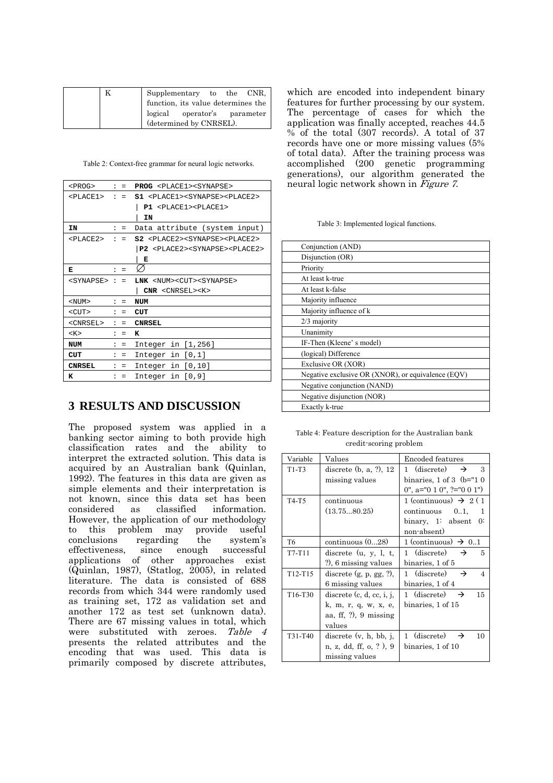|  | Supplementary to the CNR,          |  |  |
|--|------------------------------------|--|--|
|  | function, its value determines the |  |  |
|  | logical operator's parameter       |  |  |
|  | (determined by CNRSEL).            |  |  |

Table 2: Context-free grammar for neural logic networks.

| $<$ PROG>             | $\ddot{\phantom{0}}$ | $=$            | <b>PROG</b> <place1><synapse></synapse></place1>           |
|-----------------------|----------------------|----------------|------------------------------------------------------------|
| <place1></place1>     |                      | $\mathbf{1}$ = | $S1$ <place1><synapse><place2></place2></synapse></place1> |
|                       |                      |                | $P1$ <place1><place1></place1></place1>                    |
|                       |                      |                | ΙN                                                         |
| ΙN                    |                      | $\mathbf{1}$ = | Data attribute (system input)                              |
| <place2></place2>     |                      | $=$            | S2 <place2><synapse><place2></place2></synapse></place2>   |
|                       |                      |                | P2 <place2><synapse><place2></place2></synapse></place2>   |
|                       |                      |                | Е                                                          |
| Е                     | $\mathbf{r}$         | $=$            |                                                            |
| <synapse> :</synapse> |                      | $\equiv$       | LNK <num><cut><synapse></synapse></cut></num>              |
|                       |                      |                | $CNR$ < $CNRSEL$ >< $K$ >                                  |
| $<$ NUM $>$           | $\ddot{\phantom{0}}$ | $=$            | NUM                                                        |
| $<$ CUT $>$           | $\ddot{\phantom{0}}$ | $=$            | CUT                                                        |
| <cnrsel></cnrsel>     | $\ddot{\phantom{a}}$ | $=$            | <b>CNRSEL</b>                                              |
| K >                   | $\ddot{\phantom{a}}$ | $=$            | ĸ                                                          |
| NUM                   | $\ddot{\phantom{a}}$ | $=$            | Integer in $[1,256]$                                       |
| CUT                   | $\ddot{\phantom{a}}$ | $=$            | Integer in $[0,1]$                                         |
| <b>CNRSEL</b>         |                      | $=$            | Integer in $[0,10]$                                        |
| ĸ                     |                      | $=$            | Integer in $[0,9]$                                         |

# **3 RESULTS AND DISCUSSION**

The proposed system was applied in a banking sector aiming to both provide high classification rates and the ability to interpret the extracted solution. This data is acquired by an Australian bank (Quinlan, 1992). The features in this data are given as simple elements and their interpretation is not known, since this data set has been considered as classified information. However, the application of our methodology to this problem may provide useful conclusions regarding the system's effectiveness, since enough successful applications of other approaches exist (Quinlan, 1987), (Statlog, 2005), in related literature. The data is consisted of 688 records from which 344 were randomly used as training set, 172 as validation set and another 172 as test set (unknown data). There are 67 missing values in total, which were substituted with zeroes. Table 4 presents the related attributes and the encoding that was used. This data is primarily composed by discrete attributes,

which are encoded into independent binary features for further processing by our system. The percentage of cases for which the application was finally accepted, reaches 44.5 % of the total (307 records). A total of 37 records have one or more missing values (5% of total data). After the training process was accomplished (200 genetic programming generations), our algorithm generated the neural logic network shown in Figure 7.

Table 3: Implemented logical functions.

| Conjunction (AND)                                  |
|----------------------------------------------------|
| Disjunction (OR)                                   |
| Priority                                           |
| At least k-true                                    |
| At least k-false                                   |
| Majority influence                                 |
| Majority influence of k                            |
| $2/3$ majority                                     |
| Unanimity                                          |
| IF-Then (Kleene' s model)                          |
| (logical) Difference                               |
| Exclusive OR (XOR)                                 |
| Negative exclusive OR (XNOR), or equivalence (EQV) |
| Negative conjunction (NAND)                        |
| Negative disjunction (NOR)                         |
| Exactly k-true                                     |

Table 4: Feature description for the Australian bank credit-scoring problem

| Variable | Values                      | Encoded features                             |
|----------|-----------------------------|----------------------------------------------|
| $T1-T3$  | discrete $(b, a, ?)$ , 12   | 1 (discrete) $\rightarrow$<br>3              |
|          | missing values              | binaries, $1$ of $3$ (b=" $10$               |
|          |                             | $0$ ", a="0 1 0", ?="0 0 1")                 |
| T4-T5    | continuous                  | 1 (continuous) $\rightarrow$ 2 (1)           |
|          | (13.7580.25)                | $continuous$ $01$ ,<br>-1                    |
|          |                             | binary, 1: absent 0:                         |
|          |                             | non-absent)                                  |
| T6       | continuous $(028)$          | 1 (continuous) $\rightarrow$ 01              |
| T7-T11   | discrete $(u, y, l, t,$     | 1 (discrete) $\rightarrow$<br>5              |
|          | ?), 6 missing values        | binaries, 1 of 5                             |
| T12-T15  | discrete $(g, p, gg, ?)$ ,  | 1 (discrete) $\rightarrow$<br>$\overline{4}$ |
|          | 6 missing values            | binaries, 1 of 4                             |
| T16-T30  | discrete $(c, d, cc, i, j,$ | 1 (discrete) $\rightarrow$<br>15             |
|          | k, m, r, q, w, x, e,        | binaries. 1 of 15                            |
|          | aa, ff, $?$ ), 9 missing    |                                              |
|          | values                      |                                              |
| T31-T40  | discrete $(v, h, bb, j,$    | 1 (discrete) $\rightarrow$<br>10             |
|          | n, z, dd, ff, o, ?), 9      | binaries, 1 of 10                            |
|          | missing values              |                                              |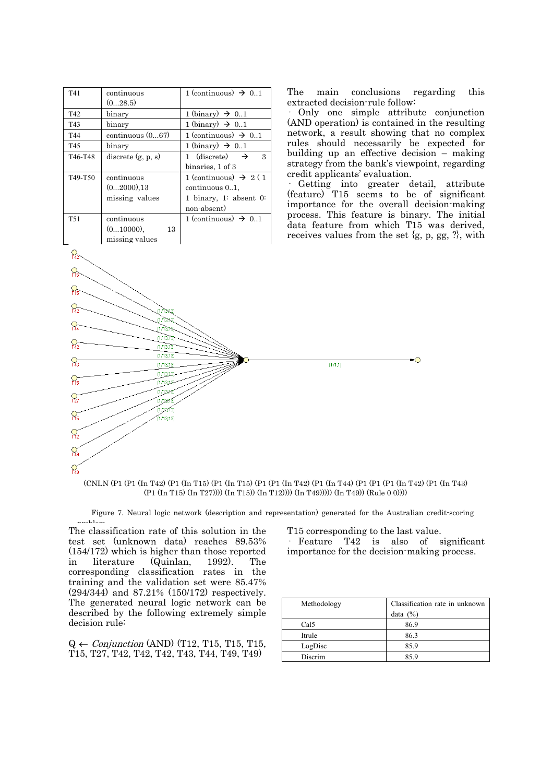| T41             | continuous           | 1 (continuous) $\rightarrow$ 01    |  |
|-----------------|----------------------|------------------------------------|--|
|                 | (028.5)              |                                    |  |
| T42             | binary               | 1 (binary) $\rightarrow$ 01        |  |
| T43             | binary               | 1 (binary) $\rightarrow$ 0.1       |  |
| T44             | continuous $(067)$   | 1 (continuous) $\rightarrow 0.1$   |  |
| T45             | binary               | 1 (binary) $\rightarrow$ 01        |  |
| T46-T48         | discrete $(g, p, s)$ | 1 (discrete) $\rightarrow$<br>3    |  |
|                 |                      | binaries, 1 of 3                   |  |
| T49-T50         | continuous           | 1 (continuous) $\rightarrow$ 2 (1) |  |
|                 | (02000).13           | continuous 01,                     |  |
|                 | missing values       | 1 binary, 1: absent $0$ :          |  |
|                 |                      | non-absent)                        |  |
| T <sub>51</sub> | continuous           | 1 (continuous) $\rightarrow$ 01    |  |
|                 | $(010000)$ ,<br>13   |                                    |  |
|                 | missing values       |                                    |  |

 $17333$ massa

 $1/1318$  $(1/13.13)$ 

 $(1/13, 13)$  $(1/13, 13)$ 

 $(1/13, 13)$  $(1/13,13)$ 

 $1713,131$  $\frac{1}{113481}$ 

ักภาชล์  $(1/12.13)$  $(1/13, 13)$ 

 $\mathcal{P}_{142}$ 유

 $\Omega$ 

 $\Omega$ 

 $\mathcal{Q}_{\overline{3}}$ 

<u>ဝူ</u>

 $\overline{S}$ 

 $\frac{6}{149}$  $\mathcal{Q}_\alpha$ 

The main conclusions regarding this extracted decision-rule follow:

· Only one simple attribute conjunction (AND operation) is contained in the resulting network, a result showing that no complex rules should necessarily be expected for building up an effective decision – making strategy from the bank's viewpoint, regarding credit applicants' evaluation.

· Getting into greater detail, attribute (feature) T15 seems to be of significant importance for the overall decision-making process. This feature is binary. The initial data feature from which T15 was derived, receives values from the set  $\{g, p, gg, ?\}$ , with

 $\bullet$ 



Figure 7. Neural logic network (description and representation) generated for the Australian credit-scoring  $p_1$ 

The classification rate of this solution in the test set (unknown data) reaches 89.53% (154/172) which is higher than those reported in literature (Quinlan, 1992). The corresponding classification rates in the training and the validation set were 85.47% (294/344) and 87.21% (150/172) respectively. The generated neural logic network can be described by the following extremely simple decision rule:

 $Q \leftarrow \text{Conjunction (AND)}$  (T12, T15, T15, T15, Τ15, Τ27, Τ42, Τ42, Τ42, Τ43, Τ44, Τ49, Τ49)

T15 corresponding to the last value.

 $n \pi n$ 

· Feature T42 is also of significant importance for the decision-making process.

| Methodology | Classification rate in unknown |  |  |
|-------------|--------------------------------|--|--|
|             | data $(\%)$                    |  |  |
| Cal5        | 86.9                           |  |  |
| Itrule      | 86.3                           |  |  |
| LogDisc     | 85.9                           |  |  |
| Discrim     | 859                            |  |  |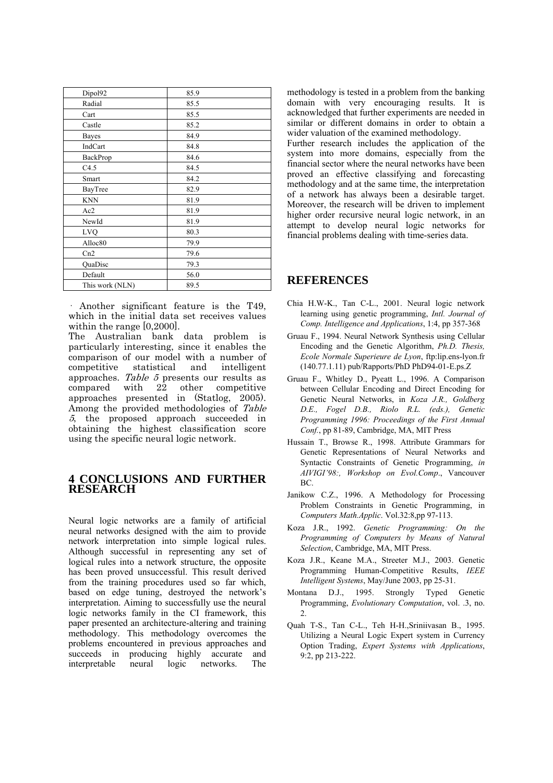| Dipol92         | 85.9 |
|-----------------|------|
| Radial          | 85.5 |
| Cart            | 85.5 |
| Castle          | 85.2 |
| Bayes           | 84.9 |
| IndCart         | 84.8 |
| BackProp        | 84.6 |
| C4.5            | 84.5 |
| Smart           | 84.2 |
| BayTree         | 82.9 |
| <b>KNN</b>      | 81.9 |
| Ac2             | 81.9 |
| NewId           | 81.9 |
| LVO             | 80.3 |
| Alloc80         | 79.9 |
| Cn2             | 79.6 |
| QuaDisc         | 79.3 |
| Default         | 56.0 |
| This work (NLN) | 89.5 |

· Another significant feature is the T49, which in the initial data set receives values within the range [0,2000].

The Australian bank data problem is particularly interesting, since it enables the comparison of our model with a number of competitive statistical and intelligent approaches. Table 5 presents our results as compared with 22 other competitive approaches presented in (Statlog, 2005). Among the provided methodologies of Table 5, the proposed approach succeeded in obtaining the highest classification score using the specific neural logic network.

### **4 CONCLUSIONS AND FURTHER RESEARCH**

Neural logic networks are a family of artificial neural networks designed with the aim to provide network interpretation into simple logical rules. Although successful in representing any set of logical rules into a network structure, the opposite has been proved unsuccessful. This result derived from the training procedures used so far which, based on edge tuning, destroyed the network's interpretation. Aiming to successfully use the neural logic networks family in the CI framework, this paper presented an architecture-altering and training methodology. This methodology overcomes the problems encountered in previous approaches and succeeds in producing highly accurate and interpretable neural logic networks. The

methodology is tested in a problem from the banking domain with very encouraging results. It is acknowledged that further experiments are needed in similar or different domains in order to obtain a wider valuation of the examined methodology.

Further research includes the application of the system into more domains, especially from the financial sector where the neural networks have been proved an effective classifying and forecasting methodology and at the same time, the interpretation of a network has always been a desirable target. Moreover, the research will be driven to implement higher order recursive neural logic network, in an attempt to develop neural logic networks for financial problems dealing with time-series data.

#### **REFERENCES**

- Chia H.W-K., Tan C-L., 2001. Neural logic network learning using genetic programming, *Intl. Journal of Comp. Intelligence and Applications*, 1:4, pp 357-368
- Gruau F., 1994. Neural Network Synthesis using Cellular Encoding and the Genetic Algorithm, *Ph.D. Thesis, Ecole Normale Superieure de Lyon*, ftp:lip.ens-lyon.fr (140.77.1.11) pub/Rapports/PhD PhD94-01-E.ps.Z
- Gruau F., Whitley D., Pyeatt L., 1996. A Comparison between Cellular Encoding and Direct Encoding for Genetic Neural Networks, in *Koza J.R., Goldberg D.E., Fogel D.B., Riolo R.L. (eds.), Genetic Programming 1996: Proceedings of the First Annual Conf.*, pp 81-89, Cambridge, MA, MIT Press
- Hussain T., Browse R., 1998. Attribute Grammars for Genetic Representations of Neural Networks and Syntactic Constraints of Genetic Programming, *in AIVIGI'98:, Workshop on Evol.Comp*., Vancouver BC.
- Janikow C.Z., 1996. A Methodology for Processing Problem Constraints in Genetic Programming, in *Computers Math.Applic*. Vol.32:8,pp 97-113.
- Koza J.R., 1992. *Genetic Programming: On the Programming of Computers by Means of Natural Selection*, Cambridge, MA, MIT Press.
- Koza J.R., Keane M.A., Streeter M.J., 2003. Genetic Programming Human-Competitive Results, *IEEE Intelligent Systems*, May/June 2003, pp 25-31.
- Montana D.J., 1995. Strongly Typed Genetic Programming, *Evolutionary Computation*, vol. .3, no.  $\mathcal{L}$
- Quah T-S., Tan C-L., Teh H-H.,Sriniivasan B., 1995. Utilizing a Neural Logic Expert system in Currency Option Trading, *Expert Systems with Applications*, 9:2, pp 213-222.